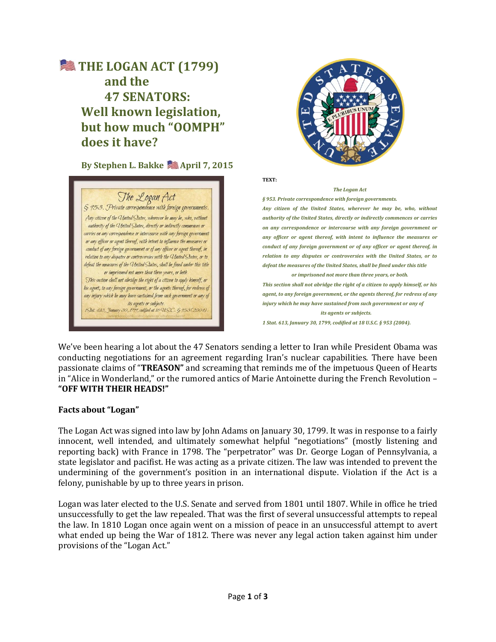# **SEXTHE LOGAN ACT (1799) and the 47 SENATORS: Well known legislation, but how much "OOMPH" does it have?**

**By Stephen L. Bakke & April 7, 2015** 





**TEXT:**

#### *The Logan Act*

*§ 953. Private correspondence with foreign governments. Any citizen of the United States, wherever he may be, who, without authority of the United States, directly or indirectly commences or carries on any correspondence or intercourse with any foreign government or any officer or agent thereof, with intent to influence the measures or conduct of any foreign government or of any officer or agent thereof, in relation to any disputes or controversies with the United States, or to defeat the measures of the United States, shall be fined under this title* 

*or imprisoned not more than three years, or both. This section shall not abridge the right of a citizen to apply himself, or his agent, to any foreign government, or the agents thereof, for redress of any injury which he may have sustained from such government or any of its agents or subjects.*

*1 Stat. 613, January 30, 1799, codified at 18 U.S.C. § 953 (2004).*

We've been hearing a lot about the 47 Senators sending a letter to Iran while President Obama was conducting negotiations for an agreement regarding Iran's nuclear capabilities. There have been passionate claims of "**TREASON"** and screaming that reminds me of the impetuous Queen of Hearts in "Alice in Wonderland," or the rumored antics of Marie Antoinette during the French Revolution – **"OFF WITH THEIR HEADS!"**

# **Facts about "Logan"**

The Logan Act was signed into law by John Adams on January 30, 1799. It was in response to a fairly innocent, well intended, and ultimately somewhat helpful "negotiations" (mostly listening and reporting back) with France in 1798. The "perpetrator" was Dr. George Logan of Pennsylvania, a state legislator and pacifist. He was acting as a private citizen. The law was intended to prevent the undermining of the government's position in an international dispute. Violation if the Act is a felony, punishable by up to three years in prison.

Logan was later elected to the U.S. Senate and served from 1801 until 1807. While in office he tried unsuccessfully to get the law repealed. That was the first of several unsuccessful attempts to repeal the law. In 1810 Logan once again went on a mission of peace in an unsuccessful attempt to avert what ended up being the War of 1812. There was never any legal action taken against him under provisions of the "Logan Act."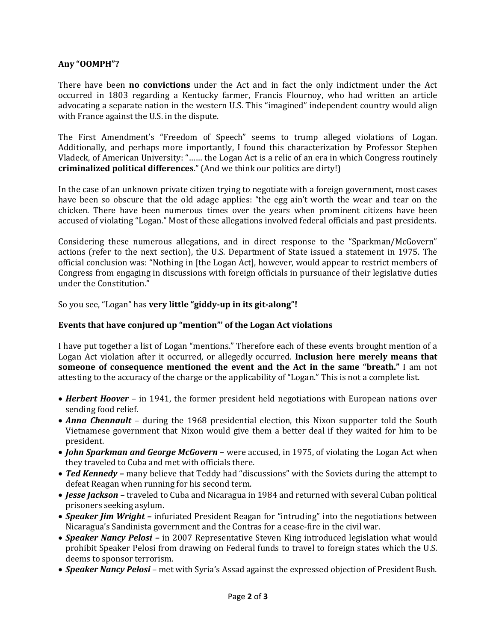# **Any "OOMPH"?**

There have been **no convictions** under the Act and in fact the only indictment under the Act occurred in 1803 regarding a Kentucky farmer, Francis Flournoy, who had written an article advocating a separate nation in the western U.S. This "imagined" independent country would align with France against the U.S. in the dispute.

The First Amendment's "Freedom of Speech" seems to trump alleged violations of Logan. Additionally, and perhaps more importantly, I found this characterization by Professor Stephen Vladeck, of American University: "…… the Logan Act is a relic of an era in which Congress routinely **criminalized political differences**." (And we think our politics are dirty!)

In the case of an unknown private citizen trying to negotiate with a foreign government, most cases have been so obscure that the old adage applies: "the egg ain't worth the wear and tear on the chicken. There have been numerous times over the years when prominent citizens have been accused of violating "Logan." Most of these allegations involved federal officials and past presidents.

Considering these numerous allegations, and in direct response to the "Sparkman/McGovern" actions (refer to the next section), the U.S. Department of State issued a statement in 1975. The official conclusion was: "Nothing in [the Logan Act], however, would appear to restrict members of Congress from engaging in discussions with foreign officials in pursuance of their legislative duties under the Constitution."

So you see, "Logan" has **very little "giddy-up in its git-along"!**

# **Events that have conjured up "mention"' of the Logan Act violations**

I have put together a list of Logan "mentions." Therefore each of these events brought mention of a Logan Act violation after it occurred, or allegedly occurred. **Inclusion here merely means that someone of consequence mentioned the event and the Act in the same "breath."** I am not attesting to the accuracy of the charge or the applicability of "Logan." This is not a complete list.

- **Herbert Hoover** in 1941, the former president held negotiations with European nations over sending food relief.
- *Anna Chennault*  during the 1968 presidential election, this Nixon supporter told the South Vietnamese government that Nixon would give them a better deal if they waited for him to be president.
- *John Sparkman and George McGovern*  were accused, in 1975, of violating the Logan Act when they traveled to Cuba and met with officials there.
- *Ted Kennedy –* many believe that Teddy had "discussions" with the Soviets during the attempt to defeat Reagan when running for his second term.
- *Jesse Jackson –* traveled to Cuba and Nicaragua in 1984 and returned with several Cuban political prisoners seeking asylum.
- *Speaker Jim Wright –* infuriated President Reagan for "intruding" into the negotiations between Nicaragua's Sandinista government and the Contras for a cease-fire in the civil war.
- *Speaker Nancy Pelosi –* in 2007 Representative Steven King introduced legislation what would prohibit Speaker Pelosi from drawing on Federal funds to travel to foreign states which the U.S. deems to sponsor terrorism.
- *Speaker Nancy Pelosi* met with Syria's Assad against the expressed objection of President Bush.